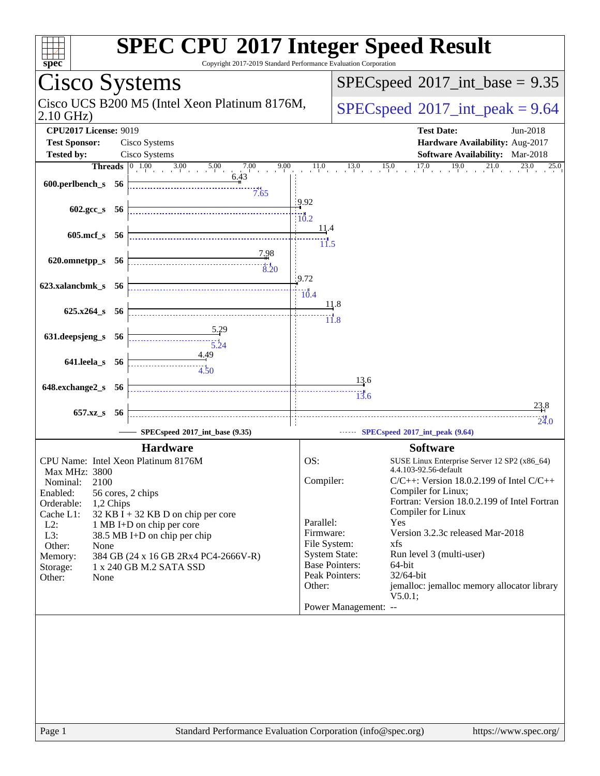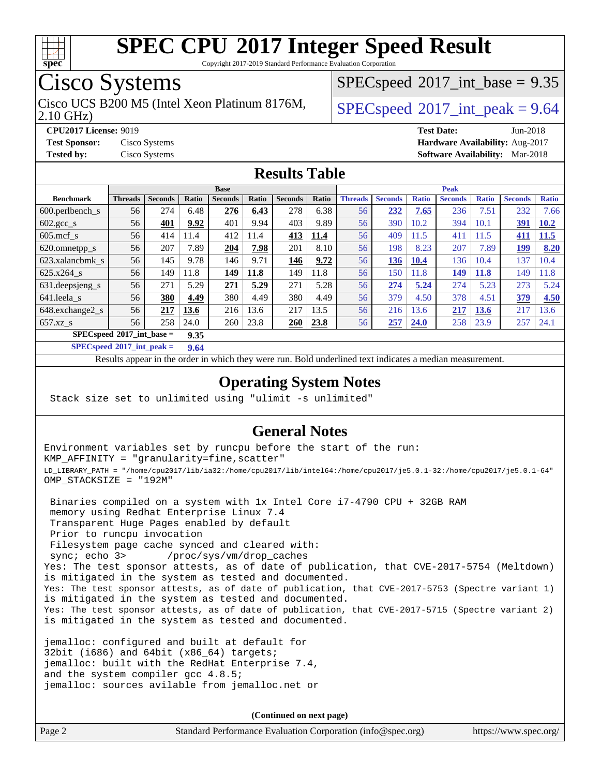

Copyright 2017-2019 Standard Performance Evaluation Corporation

# Cisco Systems

2.10 GHz) Cisco UCS B200 M5 (Intel Xeon Platinum 8176M,  $SPECspeed@2017$  $SPECspeed@2017$  int peak = 9.64

 $SPECspeed^{\circledcirc}2017\_int\_base = 9.35$  $SPECspeed^{\circledcirc}2017\_int\_base = 9.35$ 

**[CPU2017 License:](http://www.spec.org/auto/cpu2017/Docs/result-fields.html#CPU2017License)** 9019 **[Test Date:](http://www.spec.org/auto/cpu2017/Docs/result-fields.html#TestDate)** Jun-2018 **[Test Sponsor:](http://www.spec.org/auto/cpu2017/Docs/result-fields.html#TestSponsor)** Cisco Systems **[Hardware Availability:](http://www.spec.org/auto/cpu2017/Docs/result-fields.html#HardwareAvailability)** Aug-2017 **[Tested by:](http://www.spec.org/auto/cpu2017/Docs/result-fields.html#Testedby)** Cisco Systems **[Software Availability:](http://www.spec.org/auto/cpu2017/Docs/result-fields.html#SoftwareAvailability)** Mar-2018

#### **[Results Table](http://www.spec.org/auto/cpu2017/Docs/result-fields.html#ResultsTable)**

|                                     | <b>Base</b>    |                |       |                |       |                | <b>Peak</b> |                |                |              |                |              |                |                  |
|-------------------------------------|----------------|----------------|-------|----------------|-------|----------------|-------------|----------------|----------------|--------------|----------------|--------------|----------------|------------------|
| <b>Benchmark</b>                    | <b>Threads</b> | <b>Seconds</b> | Ratio | <b>Seconds</b> | Ratio | <b>Seconds</b> | Ratio       | <b>Threads</b> | <b>Seconds</b> | <b>Ratio</b> | <b>Seconds</b> | <b>Ratio</b> | <b>Seconds</b> | <b>Ratio</b>     |
| $600.$ perlbench $\mathsf{S}$       | 56             | 274            | 6.48  | 276            | 6.43  | 278            | 6.38        | 56             | 232            | 7.65         | 236            | 7.51         | 232            | 7.66             |
| $602.\text{gcc}\_\text{s}$          | 56             | 401            | 9.92  | 401            | 9.94  | 403            | 9.89        | 56             | 390            | 10.2         | 394            | 10.1         | 391            | 10.2             |
| $605$ .mcf s                        | 56             | 414            | 11.4  | 412            | 11.4  | 413            | 11.4        | 56             | 409            | 11.5         | 411            | 11.5         | 411            | 11.5             |
| 620.omnetpp_s                       | 56             | 207            | 7.89  | 204            | 7.98  | 201            | 8.10        | 56             | 198            | 8.23         | 207            | 7.89         | 199            | 8.20             |
| 623.xalancbmk s                     | 56             | 145            | 9.78  | 146            | 9.71  | 146            | 9.72        | 56             | 136            | 10.4         | 136            | 10.4         | 137            | 10.4             |
| 625.x264 s                          | 56             | 149            | 11.8  | 149            | 11.8  | 149            | 11.8        | 56             | 150            | 11.8         | 149            | <b>11.8</b>  | 149            | $\overline{1.8}$ |
| 631.deepsjeng_s                     | 56             | 271            | 5.29  | 271            | 5.29  | 271            | 5.28        | 56             | 274            | 5.24         | 274            | 5.23         | 273            | 5.24             |
| 641.leela s                         | 56             | 380            | 4.49  | 380            | 4.49  | 380            | 4.49        | 56             | 379            | 4.50         | 378            | 4.51         | 379            | 4.50             |
| 648.exchange2 s                     | 56             | 217            | 13.6  | 216            | 13.6  | 217            | 13.5        | 56             | 216            | 13.6         | 217            | 13.6         | 217            | 13.6             |
| $657.xz$ <sub>S</sub>               | 56             | 258            | 24.0  | 260            | 23.8  | 260            | 23.8        | 56             | 257            | 24.0         | 258            | 23.9         | 257            | 24.1             |
| $SPECspeed*2017$ int base =<br>9.35 |                |                |       |                |       |                |             |                |                |              |                |              |                |                  |

**[SPECspeed](http://www.spec.org/auto/cpu2017/Docs/result-fields.html#SPECspeed2017intpeak)[2017\\_int\\_peak =](http://www.spec.org/auto/cpu2017/Docs/result-fields.html#SPECspeed2017intpeak) 9.64**

Results appear in the [order in which they were run.](http://www.spec.org/auto/cpu2017/Docs/result-fields.html#RunOrder) Bold underlined text [indicates a median measurement](http://www.spec.org/auto/cpu2017/Docs/result-fields.html#Median).

#### **[Operating System Notes](http://www.spec.org/auto/cpu2017/Docs/result-fields.html#OperatingSystemNotes)**

Stack size set to unlimited using "ulimit -s unlimited"

#### **[General Notes](http://www.spec.org/auto/cpu2017/Docs/result-fields.html#GeneralNotes)**

Environment variables set by runcpu before the start of the run: KMP\_AFFINITY = "granularity=fine,scatter" LD\_LIBRARY\_PATH = "/home/cpu2017/lib/ia32:/home/cpu2017/lib/intel64:/home/cpu2017/je5.0.1-32:/home/cpu2017/je5.0.1-64" OMP\_STACKSIZE = "192M"

 Binaries compiled on a system with 1x Intel Core i7-4790 CPU + 32GB RAM memory using Redhat Enterprise Linux 7.4 Transparent Huge Pages enabled by default Prior to runcpu invocation Filesystem page cache synced and cleared with: sync; echo 3> /proc/sys/vm/drop\_caches Yes: The test sponsor attests, as of date of publication, that CVE-2017-5754 (Meltdown) is mitigated in the system as tested and documented. Yes: The test sponsor attests, as of date of publication, that CVE-2017-5753 (Spectre variant 1) is mitigated in the system as tested and documented. Yes: The test sponsor attests, as of date of publication, that CVE-2017-5715 (Spectre variant 2) is mitigated in the system as tested and documented.

jemalloc: configured and built at default for 32bit (i686) and 64bit (x86\_64) targets; jemalloc: built with the RedHat Enterprise 7.4, and the system compiler gcc 4.8.5; jemalloc: sources avilable from jemalloc.net or

**(Continued on next page)**

| Page 2 | Standard Performance Evaluation Corporation (info@spec.org) | https://www.spec.org/ |
|--------|-------------------------------------------------------------|-----------------------|
|        |                                                             |                       |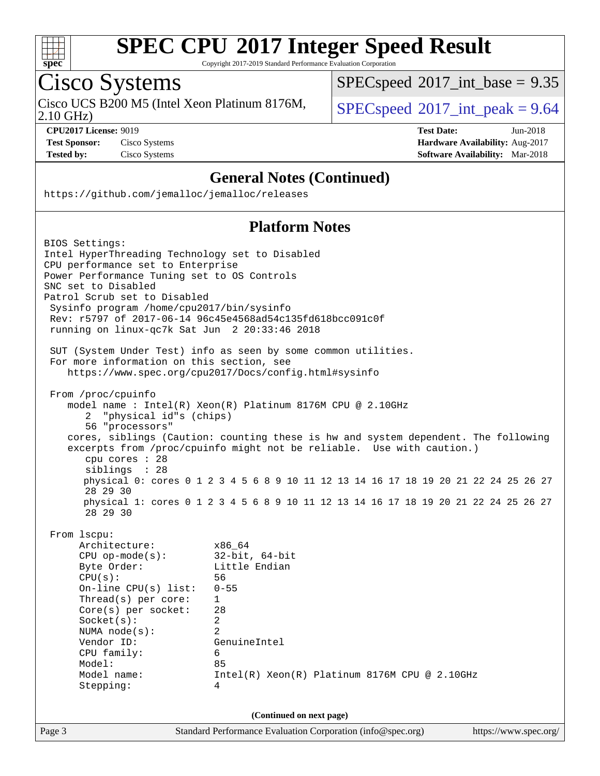

Copyright 2017-2019 Standard Performance Evaluation Corporation

# Cisco Systems

2.10 GHz) Cisco UCS B200 M5 (Intel Xeon Platinum 8176M,  $SPECspeed@2017\_int\_peak = 9.64$  $SPECspeed@2017\_int\_peak = 9.64$ 

 $SPECspeed*2017\_int\_base = 9.35$  $SPECspeed*2017\_int\_base = 9.35$ 

**[CPU2017 License:](http://www.spec.org/auto/cpu2017/Docs/result-fields.html#CPU2017License)** 9019 **[Test Date:](http://www.spec.org/auto/cpu2017/Docs/result-fields.html#TestDate)** Jun-2018 **[Test Sponsor:](http://www.spec.org/auto/cpu2017/Docs/result-fields.html#TestSponsor)** Cisco Systems **[Hardware Availability:](http://www.spec.org/auto/cpu2017/Docs/result-fields.html#HardwareAvailability)** Aug-2017 **[Tested by:](http://www.spec.org/auto/cpu2017/Docs/result-fields.html#Testedby)** Cisco Systems **[Software Availability:](http://www.spec.org/auto/cpu2017/Docs/result-fields.html#SoftwareAvailability)** Mar-2018

### **[General Notes \(Continued\)](http://www.spec.org/auto/cpu2017/Docs/result-fields.html#GeneralNotes)**

<https://github.com/jemalloc/jemalloc/releases>

### **[Platform Notes](http://www.spec.org/auto/cpu2017/Docs/result-fields.html#PlatformNotes)**

|                                                                                                                                                                                                                                                                                          | (Continued on next page)<br>Standard Performance Evaluation Corporation (info@spec.org)                                                                                                                                                             |  |
|------------------------------------------------------------------------------------------------------------------------------------------------------------------------------------------------------------------------------------------------------------------------------------------|-----------------------------------------------------------------------------------------------------------------------------------------------------------------------------------------------------------------------------------------------------|--|
| Architecture:<br>$CPU$ op-mode( $s$ ):<br>Byte Order:<br>CPU(s):<br>On-line $CPU(s)$ list:<br>Thread( $s$ ) per core:<br>$Core(s)$ per socket:<br>Socket(s):<br>NUMA $node(s):$<br>Vendor ID:<br>CPU family:<br>Model:<br>Model name:<br>Stepping:                                       | x86 64<br>$32$ -bit, $64$ -bit<br>Little Endian<br>56<br>$0 - 55$<br>$\mathbf{1}$<br>28<br>2<br>$\mathfrak{D}$<br>GenuineIntel<br>6<br>85<br>$Intel(R)$ Xeon(R) Platinum 8176M CPU @ 2.10GHz<br>4                                                   |  |
| From 1scpu:                                                                                                                                                                                                                                                                              |                                                                                                                                                                                                                                                     |  |
| cpu cores $: 28$<br>siblings : 28<br>28 29 30<br>28 29 30                                                                                                                                                                                                                                | excerpts from /proc/cpuinfo might not be reliable. Use with caution.)<br>physical 0: cores 0 1 2 3 4 5 6 8 9 10 11 12 13 14 16 17 18 19 20 21 22 24 25 26 27<br>physical 1: cores 0 1 2 3 4 5 6 8 9 10 11 12 13 14 16 17 18 19 20 21 22 24 25 26 27 |  |
| From /proc/cpuinfo<br>"physical id"s (chips)<br>2<br>56 "processors"                                                                                                                                                                                                                     | model name: Intel(R) Xeon(R) Platinum 8176M CPU @ 2.10GHz<br>cores, siblings (Caution: counting these is hw and system dependent. The following                                                                                                     |  |
| For more information on this section, see                                                                                                                                                                                                                                                | SUT (System Under Test) info as seen by some common utilities.<br>https://www.spec.org/cpu2017/Docs/config.html#sysinfo                                                                                                                             |  |
| Intel HyperThreading Technology set to Disabled<br>CPU performance set to Enterprise<br>Power Performance Tuning set to OS Controls<br>SNC set to Disabled<br>Patrol Scrub set to Disabled<br>Sysinfo program /home/cpu2017/bin/sysinfo<br>running on linux-qc7k Sat Jun 2 20:33:46 2018 | Rev: r5797 of 2017-06-14 96c45e4568ad54c135fd618bcc091c0f                                                                                                                                                                                           |  |
| BIOS Settings:                                                                                                                                                                                                                                                                           |                                                                                                                                                                                                                                                     |  |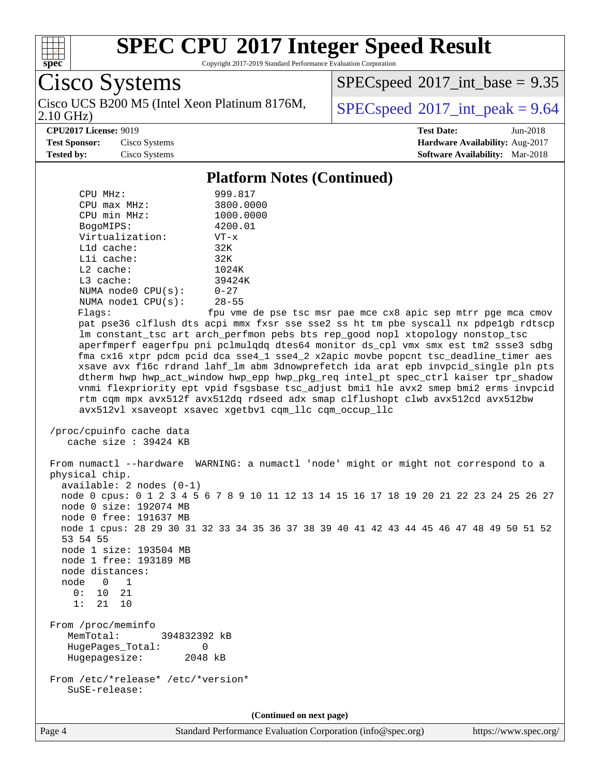

Copyright 2017-2019 Standard Performance Evaluation Corporation

Cisco Systems 2.10 GHz)

 $SPEC speed$ <sup>®</sup> $2017$ \_int\_base = 9.35

Cisco UCS B200 M5 (Intel Xeon Platinum 8176M,  $SPECspeed@2017\_int\_peak = 9.64$  $SPECspeed@2017\_int\_peak = 9.64$ 

**[CPU2017 License:](http://www.spec.org/auto/cpu2017/Docs/result-fields.html#CPU2017License)** 9019 **[Test Date:](http://www.spec.org/auto/cpu2017/Docs/result-fields.html#TestDate)** Jun-2018

**[Test Sponsor:](http://www.spec.org/auto/cpu2017/Docs/result-fields.html#TestSponsor)** Cisco Systems **[Hardware Availability:](http://www.spec.org/auto/cpu2017/Docs/result-fields.html#HardwareAvailability)** Aug-2017 **[Tested by:](http://www.spec.org/auto/cpu2017/Docs/result-fields.html#Testedby)** Cisco Systems **[Software Availability:](http://www.spec.org/auto/cpu2017/Docs/result-fields.html#SoftwareAvailability)** Mar-2018

#### **[Platform Notes \(Continued\)](http://www.spec.org/auto/cpu2017/Docs/result-fields.html#PlatformNotes)**

| CPU MHz:                                               | 999.817                                                                                 |  |  |  |  |  |  |  |
|--------------------------------------------------------|-----------------------------------------------------------------------------------------|--|--|--|--|--|--|--|
| $CPU$ max $MHz$ :                                      | 3800.0000                                                                               |  |  |  |  |  |  |  |
| CPU min MHz:                                           | 1000.0000                                                                               |  |  |  |  |  |  |  |
| BogoMIPS:                                              | 4200.01                                                                                 |  |  |  |  |  |  |  |
| Virtualization:                                        | $VT - x$                                                                                |  |  |  |  |  |  |  |
| L1d cache:                                             | 32K                                                                                     |  |  |  |  |  |  |  |
| Lli cache:                                             | 32K                                                                                     |  |  |  |  |  |  |  |
| $L2$ cache:                                            | 1024K                                                                                   |  |  |  |  |  |  |  |
| $L3$ cache:                                            | 39424K                                                                                  |  |  |  |  |  |  |  |
| NUMA node0 CPU(s):                                     | $0 - 27$                                                                                |  |  |  |  |  |  |  |
| NUMA nodel CPU(s):                                     | $28 - 55$                                                                               |  |  |  |  |  |  |  |
| Flags:                                                 | fpu vme de pse tsc msr pae mce cx8 apic sep mtrr pqe mca cmov                           |  |  |  |  |  |  |  |
|                                                        | pat pse36 clflush dts acpi mmx fxsr sse sse2 ss ht tm pbe syscall nx pdpelgb rdtscp     |  |  |  |  |  |  |  |
|                                                        | Im constant_tsc art arch_perfmon pebs bts rep_good nopl xtopology nonstop_tsc           |  |  |  |  |  |  |  |
|                                                        | aperfmperf eagerfpu pni pclmulgdg dtes64 monitor ds cpl vmx smx est tm2 ssse3 sdbg      |  |  |  |  |  |  |  |
|                                                        | fma cx16 xtpr pdcm pcid dca sse4_1 sse4_2 x2apic movbe popcnt tsc_deadline_timer aes    |  |  |  |  |  |  |  |
|                                                        | xsave avx f16c rdrand lahf lm abm 3dnowprefetch ida arat epb invpcid single pln pts     |  |  |  |  |  |  |  |
|                                                        | dtherm hwp hwp_act_window hwp_epp hwp_pkg_req intel_pt spec_ctrl kaiser tpr_shadow      |  |  |  |  |  |  |  |
|                                                        | vnmi flexpriority ept vpid fsgsbase tsc_adjust bmil hle avx2 smep bmi2 erms invpcid     |  |  |  |  |  |  |  |
|                                                        | rtm cqm mpx avx512f avx512dq rdseed adx smap clflushopt clwb avx512cd avx512bw          |  |  |  |  |  |  |  |
| avx512vl xsaveopt xsavec xgetbyl cgm llc cgm occup llc |                                                                                         |  |  |  |  |  |  |  |
|                                                        |                                                                                         |  |  |  |  |  |  |  |
| /proc/cpuinfo cache data                               |                                                                                         |  |  |  |  |  |  |  |
| cache size: 39424 KB                                   |                                                                                         |  |  |  |  |  |  |  |
|                                                        |                                                                                         |  |  |  |  |  |  |  |
|                                                        | From numactl --hardware WARNING: a numactl 'node' might or might not correspond to a    |  |  |  |  |  |  |  |
| physical chip.                                         |                                                                                         |  |  |  |  |  |  |  |
| $available: 2 nodes (0-1)$                             |                                                                                         |  |  |  |  |  |  |  |
|                                                        | node 0 cpus: 0 1 2 3 4 5 6 7 8 9 10 11 12 13 14 15 16 17 18 19 20 21 22 23 24 25 26 27  |  |  |  |  |  |  |  |
| node 0 size: 192074 MB                                 |                                                                                         |  |  |  |  |  |  |  |
| node 0 free: 191637 MB                                 |                                                                                         |  |  |  |  |  |  |  |
|                                                        | node 1 cpus: 28 29 30 31 32 33 34 35 36 37 38 39 40 41 42 43 44 45 46 47 48 49 50 51 52 |  |  |  |  |  |  |  |

 node 1 cpus: 28 29 30 31 32 33 34 35 36 37 38 39 40 41 42 43 44 45 46 47 48 49 50 51 52 53 54 55 node 1 size: 193504 MB

 node 1 free: 193189 MB node distances: node 0 1

 0: 10 21 1: 21 10

 From /proc/meminfo MemTotal: 394832392 kB HugePages\_Total: 0<br>Hugepagesize: 2048 kB Hugepagesize:

 From /etc/\*release\* /etc/\*version\* SuSE-release:

**(Continued on next page)**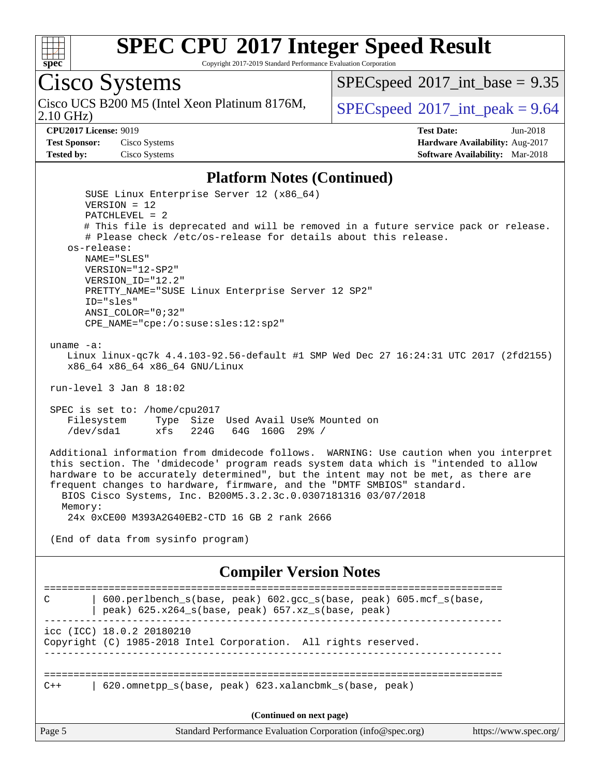

Copyright 2017-2019 Standard Performance Evaluation Corporation

# Cisco Systems

2.10 GHz) Cisco UCS B200 M5 (Intel Xeon Platinum 8176M,  $SPECspeed@2017$  $SPECspeed@2017$  int peak = 9.64

SUSE Linux Enterprise Server 12 (x86\_64)

 $SPECspeed^{\circledcirc}2017\_int\_base = 9.35$  $SPECspeed^{\circledcirc}2017\_int\_base = 9.35$ 

**[CPU2017 License:](http://www.spec.org/auto/cpu2017/Docs/result-fields.html#CPU2017License)** 9019 **[Test Date:](http://www.spec.org/auto/cpu2017/Docs/result-fields.html#TestDate)** Jun-2018 **[Test Sponsor:](http://www.spec.org/auto/cpu2017/Docs/result-fields.html#TestSponsor)** Cisco Systems **[Hardware Availability:](http://www.spec.org/auto/cpu2017/Docs/result-fields.html#HardwareAvailability)** Aug-2017 **[Tested by:](http://www.spec.org/auto/cpu2017/Docs/result-fields.html#Testedby)** Cisco Systems **[Software Availability:](http://www.spec.org/auto/cpu2017/Docs/result-fields.html#SoftwareAvailability)** Mar-2018

#### **[Platform Notes \(Continued\)](http://www.spec.org/auto/cpu2017/Docs/result-fields.html#PlatformNotes)**

Page 5 Standard Performance Evaluation Corporation [\(info@spec.org\)](mailto:info@spec.org) <https://www.spec.org/> VERSION = 12 PATCHLEVEL = 2 # This file is deprecated and will be removed in a future service pack or release. # Please check /etc/os-release for details about this release. os-release: NAME="SLES" VERSION="12-SP2" VERSION\_ID="12.2" PRETTY\_NAME="SUSE Linux Enterprise Server 12 SP2" ID="sles" ANSI\_COLOR="0;32" CPE\_NAME="cpe:/o:suse:sles:12:sp2" uname -a: Linux linux-qc7k 4.4.103-92.56-default #1 SMP Wed Dec 27 16:24:31 UTC 2017 (2fd2155) x86\_64 x86\_64 x86\_64 GNU/Linux run-level 3 Jan 8 18:02 SPEC is set to: /home/cpu2017 Filesystem Type Size Used Avail Use% Mounted on /dev/sda1 xfs 224G 64G 160G 29% / Additional information from dmidecode follows. WARNING: Use caution when you interpret this section. The 'dmidecode' program reads system data which is "intended to allow hardware to be accurately determined", but the intent may not be met, as there are frequent changes to hardware, firmware, and the "DMTF SMBIOS" standard. BIOS Cisco Systems, Inc. B200M5.3.2.3c.0.0307181316 03/07/2018 Memory: 24x 0xCE00 M393A2G40EB2-CTD 16 GB 2 rank 2666 (End of data from sysinfo program) **[Compiler Version Notes](http://www.spec.org/auto/cpu2017/Docs/result-fields.html#CompilerVersionNotes)** ============================================================================== C | 600.perlbench\_s(base, peak) 602.gcc\_s(base, peak) 605.mcf\_s(base, | peak) 625.x264\_s(base, peak) 657.xz\_s(base, peak) ----------------------------------------------------------------------------- icc (ICC) 18.0.2 20180210 Copyright (C) 1985-2018 Intel Corporation. All rights reserved. ------------------------------------------------------------------------------ ============================================================================== C++ | 620.omnetpp\_s(base, peak) 623.xalancbmk\_s(base, peak) **(Continued on next page)**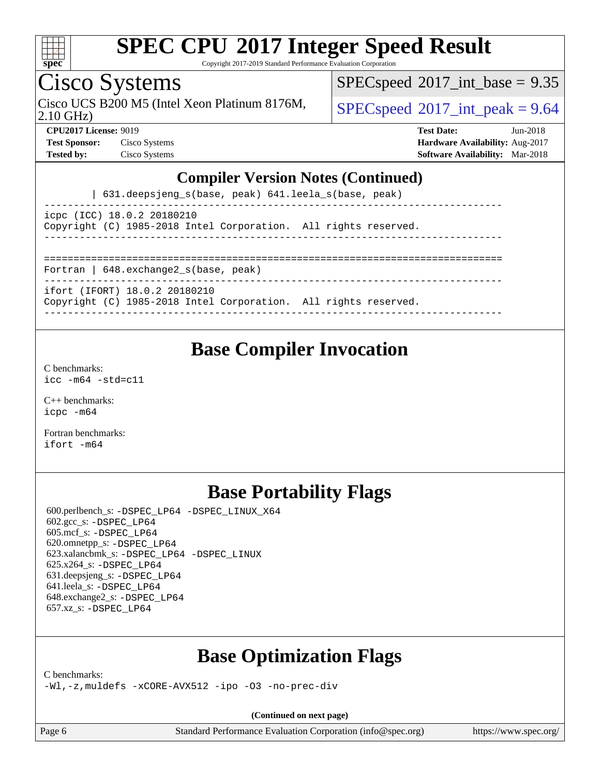

Copyright 2017-2019 Standard Performance Evaluation Corporation

### Cisco Systems

2.10 GHz) Cisco UCS B200 M5 (Intel Xeon Platinum 8176M,  $\big|$  [SPECspeed](http://www.spec.org/auto/cpu2017/Docs/result-fields.html#SPECspeed2017intpeak)<sup>®</sup>[2017\\_int\\_peak = 9](http://www.spec.org/auto/cpu2017/Docs/result-fields.html#SPECspeed2017intpeak).64

 $SPECspeed^{\circledcirc}2017\_int\_base = 9.35$  $SPECspeed^{\circledcirc}2017\_int\_base = 9.35$ 

**[Test Sponsor:](http://www.spec.org/auto/cpu2017/Docs/result-fields.html#TestSponsor)** Cisco Systems **[Hardware Availability:](http://www.spec.org/auto/cpu2017/Docs/result-fields.html#HardwareAvailability)** Aug-2017

**[CPU2017 License:](http://www.spec.org/auto/cpu2017/Docs/result-fields.html#CPU2017License)** 9019 **[Test Date:](http://www.spec.org/auto/cpu2017/Docs/result-fields.html#TestDate)** Jun-2018 **[Tested by:](http://www.spec.org/auto/cpu2017/Docs/result-fields.html#Testedby)** Cisco Systems **[Software Availability:](http://www.spec.org/auto/cpu2017/Docs/result-fields.html#SoftwareAvailability)** Mar-2018

#### **[Compiler Version Notes \(Continued\)](http://www.spec.org/auto/cpu2017/Docs/result-fields.html#CompilerVersionNotes)**

| 631.deepsjeng\_s(base, peak) 641.leela\_s(base, peak)

----------------------------------------------------------------------------- icpc (ICC) 18.0.2 20180210 Copyright (C) 1985-2018 Intel Corporation. All rights reserved.

------------------------------------------------------------------------------

==============================================================================

Fortran | 648.exchange2\_s(base, peak) ------------------------------------------------------------------------------

ifort (IFORT) 18.0.2 20180210

Copyright (C) 1985-2018 Intel Corporation. All rights reserved.

------------------------------------------------------------------------------

### **[Base Compiler Invocation](http://www.spec.org/auto/cpu2017/Docs/result-fields.html#BaseCompilerInvocation)**

[C benchmarks](http://www.spec.org/auto/cpu2017/Docs/result-fields.html#Cbenchmarks): [icc -m64 -std=c11](http://www.spec.org/cpu2017/results/res2018q2/cpu2017-20180612-06931.flags.html#user_CCbase_intel_icc_64bit_c11_33ee0cdaae7deeeab2a9725423ba97205ce30f63b9926c2519791662299b76a0318f32ddfffdc46587804de3178b4f9328c46fa7c2b0cd779d7a61945c91cd35)

[C++ benchmarks:](http://www.spec.org/auto/cpu2017/Docs/result-fields.html#CXXbenchmarks) [icpc -m64](http://www.spec.org/cpu2017/results/res2018q2/cpu2017-20180612-06931.flags.html#user_CXXbase_intel_icpc_64bit_4ecb2543ae3f1412ef961e0650ca070fec7b7afdcd6ed48761b84423119d1bf6bdf5cad15b44d48e7256388bc77273b966e5eb805aefd121eb22e9299b2ec9d9)

[Fortran benchmarks](http://www.spec.org/auto/cpu2017/Docs/result-fields.html#Fortranbenchmarks): [ifort -m64](http://www.spec.org/cpu2017/results/res2018q2/cpu2017-20180612-06931.flags.html#user_FCbase_intel_ifort_64bit_24f2bb282fbaeffd6157abe4f878425411749daecae9a33200eee2bee2fe76f3b89351d69a8130dd5949958ce389cf37ff59a95e7a40d588e8d3a57e0c3fd751)

### **[Base Portability Flags](http://www.spec.org/auto/cpu2017/Docs/result-fields.html#BasePortabilityFlags)**

 600.perlbench\_s: [-DSPEC\\_LP64](http://www.spec.org/cpu2017/results/res2018q2/cpu2017-20180612-06931.flags.html#b600.perlbench_s_basePORTABILITY_DSPEC_LP64) [-DSPEC\\_LINUX\\_X64](http://www.spec.org/cpu2017/results/res2018q2/cpu2017-20180612-06931.flags.html#b600.perlbench_s_baseCPORTABILITY_DSPEC_LINUX_X64) 602.gcc\_s: [-DSPEC\\_LP64](http://www.spec.org/cpu2017/results/res2018q2/cpu2017-20180612-06931.flags.html#suite_basePORTABILITY602_gcc_s_DSPEC_LP64) 605.mcf\_s: [-DSPEC\\_LP64](http://www.spec.org/cpu2017/results/res2018q2/cpu2017-20180612-06931.flags.html#suite_basePORTABILITY605_mcf_s_DSPEC_LP64) 620.omnetpp\_s: [-DSPEC\\_LP64](http://www.spec.org/cpu2017/results/res2018q2/cpu2017-20180612-06931.flags.html#suite_basePORTABILITY620_omnetpp_s_DSPEC_LP64) 623.xalancbmk\_s: [-DSPEC\\_LP64](http://www.spec.org/cpu2017/results/res2018q2/cpu2017-20180612-06931.flags.html#suite_basePORTABILITY623_xalancbmk_s_DSPEC_LP64) [-DSPEC\\_LINUX](http://www.spec.org/cpu2017/results/res2018q2/cpu2017-20180612-06931.flags.html#b623.xalancbmk_s_baseCXXPORTABILITY_DSPEC_LINUX) 625.x264\_s: [-DSPEC\\_LP64](http://www.spec.org/cpu2017/results/res2018q2/cpu2017-20180612-06931.flags.html#suite_basePORTABILITY625_x264_s_DSPEC_LP64) 631.deepsjeng\_s: [-DSPEC\\_LP64](http://www.spec.org/cpu2017/results/res2018q2/cpu2017-20180612-06931.flags.html#suite_basePORTABILITY631_deepsjeng_s_DSPEC_LP64) 641.leela\_s: [-DSPEC\\_LP64](http://www.spec.org/cpu2017/results/res2018q2/cpu2017-20180612-06931.flags.html#suite_basePORTABILITY641_leela_s_DSPEC_LP64) 648.exchange2\_s: [-DSPEC\\_LP64](http://www.spec.org/cpu2017/results/res2018q2/cpu2017-20180612-06931.flags.html#suite_basePORTABILITY648_exchange2_s_DSPEC_LP64) 657.xz\_s: [-DSPEC\\_LP64](http://www.spec.org/cpu2017/results/res2018q2/cpu2017-20180612-06931.flags.html#suite_basePORTABILITY657_xz_s_DSPEC_LP64)

### **[Base Optimization Flags](http://www.spec.org/auto/cpu2017/Docs/result-fields.html#BaseOptimizationFlags)**

[C benchmarks](http://www.spec.org/auto/cpu2017/Docs/result-fields.html#Cbenchmarks):

[-Wl,-z,muldefs](http://www.spec.org/cpu2017/results/res2018q2/cpu2017-20180612-06931.flags.html#user_CCbase_link_force_multiple1_b4cbdb97b34bdee9ceefcfe54f4c8ea74255f0b02a4b23e853cdb0e18eb4525ac79b5a88067c842dd0ee6996c24547a27a4b99331201badda8798ef8a743f577) [-xCORE-AVX512](http://www.spec.org/cpu2017/results/res2018q2/cpu2017-20180612-06931.flags.html#user_CCbase_f-xCORE-AVX512) [-ipo](http://www.spec.org/cpu2017/results/res2018q2/cpu2017-20180612-06931.flags.html#user_CCbase_f-ipo) [-O3](http://www.spec.org/cpu2017/results/res2018q2/cpu2017-20180612-06931.flags.html#user_CCbase_f-O3) [-no-prec-div](http://www.spec.org/cpu2017/results/res2018q2/cpu2017-20180612-06931.flags.html#user_CCbase_f-no-prec-div)

**(Continued on next page)**

Page 6 Standard Performance Evaluation Corporation [\(info@spec.org\)](mailto:info@spec.org) <https://www.spec.org/>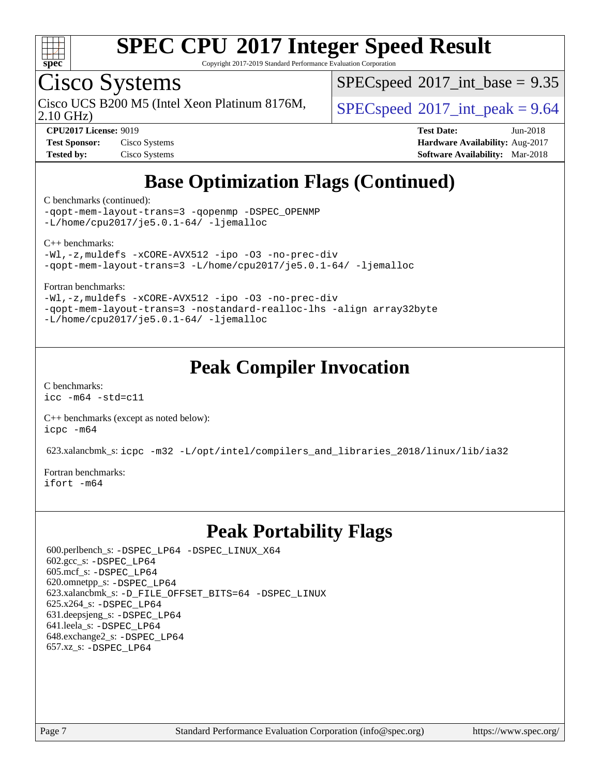

Copyright 2017-2019 Standard Performance Evaluation Corporation

## Cisco Systems

2.10 GHz) Cisco UCS B200 M5 (Intel Xeon Platinum 8176M,  $\big|$  [SPECspeed](http://www.spec.org/auto/cpu2017/Docs/result-fields.html#SPECspeed2017intpeak)<sup>®</sup>[2017\\_int\\_peak = 9](http://www.spec.org/auto/cpu2017/Docs/result-fields.html#SPECspeed2017intpeak).64

 $SPECspeed^{\circledcirc}2017\_int\_base = 9.35$  $SPECspeed^{\circledcirc}2017\_int\_base = 9.35$ 

| <b>Test Sponsor:</b> | Cisco Systems |
|----------------------|---------------|
| <b>Tested by:</b>    | Cisco Systems |

**[CPU2017 License:](http://www.spec.org/auto/cpu2017/Docs/result-fields.html#CPU2017License)** 9019 **[Test Date:](http://www.spec.org/auto/cpu2017/Docs/result-fields.html#TestDate)** Jun-2018 **[Hardware Availability:](http://www.spec.org/auto/cpu2017/Docs/result-fields.html#HardwareAvailability)** Aug-2017 **[Software Availability:](http://www.spec.org/auto/cpu2017/Docs/result-fields.html#SoftwareAvailability)** Mar-2018

### **[Base Optimization Flags \(Continued\)](http://www.spec.org/auto/cpu2017/Docs/result-fields.html#BaseOptimizationFlags)**

[C benchmarks](http://www.spec.org/auto/cpu2017/Docs/result-fields.html#Cbenchmarks) (continued):

[-qopt-mem-layout-trans=3](http://www.spec.org/cpu2017/results/res2018q2/cpu2017-20180612-06931.flags.html#user_CCbase_f-qopt-mem-layout-trans_de80db37974c74b1f0e20d883f0b675c88c3b01e9d123adea9b28688d64333345fb62bc4a798493513fdb68f60282f9a726aa07f478b2f7113531aecce732043) [-qopenmp](http://www.spec.org/cpu2017/results/res2018q2/cpu2017-20180612-06931.flags.html#user_CCbase_qopenmp_16be0c44f24f464004c6784a7acb94aca937f053568ce72f94b139a11c7c168634a55f6653758ddd83bcf7b8463e8028bb0b48b77bcddc6b78d5d95bb1df2967) [-DSPEC\\_OPENMP](http://www.spec.org/cpu2017/results/res2018q2/cpu2017-20180612-06931.flags.html#suite_CCbase_DSPEC_OPENMP) [-L/home/cpu2017/je5.0.1-64/](http://www.spec.org/cpu2017/results/res2018q2/cpu2017-20180612-06931.flags.html#user_CCbase_jemalloc_link_path64_8e927a5f1bdac0405e66c637541874330e08086b5e62a1d024bcf3497e3c64fd173c8afb7d1730d51f6da781ef4c439bdab468bb8364cf71435e0c609fac500c) [-ljemalloc](http://www.spec.org/cpu2017/results/res2018q2/cpu2017-20180612-06931.flags.html#user_CCbase_jemalloc_link_lib_d1249b907c500fa1c0672f44f562e3d0f79738ae9e3c4a9c376d49f265a04b9c99b167ecedbf6711b3085be911c67ff61f150a17b3472be731631ba4d0471706)

[C++ benchmarks:](http://www.spec.org/auto/cpu2017/Docs/result-fields.html#CXXbenchmarks)

[-Wl,-z,muldefs](http://www.spec.org/cpu2017/results/res2018q2/cpu2017-20180612-06931.flags.html#user_CXXbase_link_force_multiple1_b4cbdb97b34bdee9ceefcfe54f4c8ea74255f0b02a4b23e853cdb0e18eb4525ac79b5a88067c842dd0ee6996c24547a27a4b99331201badda8798ef8a743f577) [-xCORE-AVX512](http://www.spec.org/cpu2017/results/res2018q2/cpu2017-20180612-06931.flags.html#user_CXXbase_f-xCORE-AVX512) [-ipo](http://www.spec.org/cpu2017/results/res2018q2/cpu2017-20180612-06931.flags.html#user_CXXbase_f-ipo) [-O3](http://www.spec.org/cpu2017/results/res2018q2/cpu2017-20180612-06931.flags.html#user_CXXbase_f-O3) [-no-prec-div](http://www.spec.org/cpu2017/results/res2018q2/cpu2017-20180612-06931.flags.html#user_CXXbase_f-no-prec-div) [-qopt-mem-layout-trans=3](http://www.spec.org/cpu2017/results/res2018q2/cpu2017-20180612-06931.flags.html#user_CXXbase_f-qopt-mem-layout-trans_de80db37974c74b1f0e20d883f0b675c88c3b01e9d123adea9b28688d64333345fb62bc4a798493513fdb68f60282f9a726aa07f478b2f7113531aecce732043) [-L/home/cpu2017/je5.0.1-64/](http://www.spec.org/cpu2017/results/res2018q2/cpu2017-20180612-06931.flags.html#user_CXXbase_jemalloc_link_path64_8e927a5f1bdac0405e66c637541874330e08086b5e62a1d024bcf3497e3c64fd173c8afb7d1730d51f6da781ef4c439bdab468bb8364cf71435e0c609fac500c) [-ljemalloc](http://www.spec.org/cpu2017/results/res2018q2/cpu2017-20180612-06931.flags.html#user_CXXbase_jemalloc_link_lib_d1249b907c500fa1c0672f44f562e3d0f79738ae9e3c4a9c376d49f265a04b9c99b167ecedbf6711b3085be911c67ff61f150a17b3472be731631ba4d0471706)

[Fortran benchmarks](http://www.spec.org/auto/cpu2017/Docs/result-fields.html#Fortranbenchmarks):

[-Wl,-z,muldefs](http://www.spec.org/cpu2017/results/res2018q2/cpu2017-20180612-06931.flags.html#user_FCbase_link_force_multiple1_b4cbdb97b34bdee9ceefcfe54f4c8ea74255f0b02a4b23e853cdb0e18eb4525ac79b5a88067c842dd0ee6996c24547a27a4b99331201badda8798ef8a743f577) [-xCORE-AVX512](http://www.spec.org/cpu2017/results/res2018q2/cpu2017-20180612-06931.flags.html#user_FCbase_f-xCORE-AVX512) [-ipo](http://www.spec.org/cpu2017/results/res2018q2/cpu2017-20180612-06931.flags.html#user_FCbase_f-ipo) [-O3](http://www.spec.org/cpu2017/results/res2018q2/cpu2017-20180612-06931.flags.html#user_FCbase_f-O3) [-no-prec-div](http://www.spec.org/cpu2017/results/res2018q2/cpu2017-20180612-06931.flags.html#user_FCbase_f-no-prec-div) [-qopt-mem-layout-trans=3](http://www.spec.org/cpu2017/results/res2018q2/cpu2017-20180612-06931.flags.html#user_FCbase_f-qopt-mem-layout-trans_de80db37974c74b1f0e20d883f0b675c88c3b01e9d123adea9b28688d64333345fb62bc4a798493513fdb68f60282f9a726aa07f478b2f7113531aecce732043) [-nostandard-realloc-lhs](http://www.spec.org/cpu2017/results/res2018q2/cpu2017-20180612-06931.flags.html#user_FCbase_f_2003_std_realloc_82b4557e90729c0f113870c07e44d33d6f5a304b4f63d4c15d2d0f1fab99f5daaed73bdb9275d9ae411527f28b936061aa8b9c8f2d63842963b95c9dd6426b8a) [-align array32byte](http://www.spec.org/cpu2017/results/res2018q2/cpu2017-20180612-06931.flags.html#user_FCbase_align_array32byte_b982fe038af199962ba9a80c053b8342c548c85b40b8e86eb3cc33dee0d7986a4af373ac2d51c3f7cf710a18d62fdce2948f201cd044323541f22fc0fffc51b6) [-L/home/cpu2017/je5.0.1-64/](http://www.spec.org/cpu2017/results/res2018q2/cpu2017-20180612-06931.flags.html#user_FCbase_jemalloc_link_path64_8e927a5f1bdac0405e66c637541874330e08086b5e62a1d024bcf3497e3c64fd173c8afb7d1730d51f6da781ef4c439bdab468bb8364cf71435e0c609fac500c) [-ljemalloc](http://www.spec.org/cpu2017/results/res2018q2/cpu2017-20180612-06931.flags.html#user_FCbase_jemalloc_link_lib_d1249b907c500fa1c0672f44f562e3d0f79738ae9e3c4a9c376d49f265a04b9c99b167ecedbf6711b3085be911c67ff61f150a17b3472be731631ba4d0471706)

### **[Peak Compiler Invocation](http://www.spec.org/auto/cpu2017/Docs/result-fields.html#PeakCompilerInvocation)**

[C benchmarks](http://www.spec.org/auto/cpu2017/Docs/result-fields.html#Cbenchmarks): [icc -m64 -std=c11](http://www.spec.org/cpu2017/results/res2018q2/cpu2017-20180612-06931.flags.html#user_CCpeak_intel_icc_64bit_c11_33ee0cdaae7deeeab2a9725423ba97205ce30f63b9926c2519791662299b76a0318f32ddfffdc46587804de3178b4f9328c46fa7c2b0cd779d7a61945c91cd35)

[C++ benchmarks \(except as noted below\):](http://www.spec.org/auto/cpu2017/Docs/result-fields.html#CXXbenchmarksexceptasnotedbelow) [icpc -m64](http://www.spec.org/cpu2017/results/res2018q2/cpu2017-20180612-06931.flags.html#user_CXXpeak_intel_icpc_64bit_4ecb2543ae3f1412ef961e0650ca070fec7b7afdcd6ed48761b84423119d1bf6bdf5cad15b44d48e7256388bc77273b966e5eb805aefd121eb22e9299b2ec9d9)

623.xalancbmk\_s: [icpc -m32 -L/opt/intel/compilers\\_and\\_libraries\\_2018/linux/lib/ia32](http://www.spec.org/cpu2017/results/res2018q2/cpu2017-20180612-06931.flags.html#user_peakCXXLD623_xalancbmk_s_intel_icpc_49b8c4a2e52517df5e44233d8730ac3dfca5acbb5ef11df3347e50260a55109134bcb7fd2e543798dfd93e66566a4e08776ad3f7d40a4ff4276870c090f61f0e)

[Fortran benchmarks](http://www.spec.org/auto/cpu2017/Docs/result-fields.html#Fortranbenchmarks): [ifort -m64](http://www.spec.org/cpu2017/results/res2018q2/cpu2017-20180612-06931.flags.html#user_FCpeak_intel_ifort_64bit_24f2bb282fbaeffd6157abe4f878425411749daecae9a33200eee2bee2fe76f3b89351d69a8130dd5949958ce389cf37ff59a95e7a40d588e8d3a57e0c3fd751)

### **[Peak Portability Flags](http://www.spec.org/auto/cpu2017/Docs/result-fields.html#PeakPortabilityFlags)**

 600.perlbench\_s: [-DSPEC\\_LP64](http://www.spec.org/cpu2017/results/res2018q2/cpu2017-20180612-06931.flags.html#b600.perlbench_s_peakPORTABILITY_DSPEC_LP64) [-DSPEC\\_LINUX\\_X64](http://www.spec.org/cpu2017/results/res2018q2/cpu2017-20180612-06931.flags.html#b600.perlbench_s_peakCPORTABILITY_DSPEC_LINUX_X64) 602.gcc\_s: [-DSPEC\\_LP64](http://www.spec.org/cpu2017/results/res2018q2/cpu2017-20180612-06931.flags.html#suite_peakPORTABILITY602_gcc_s_DSPEC_LP64) 605.mcf\_s: [-DSPEC\\_LP64](http://www.spec.org/cpu2017/results/res2018q2/cpu2017-20180612-06931.flags.html#suite_peakPORTABILITY605_mcf_s_DSPEC_LP64) 620.omnetpp\_s: [-DSPEC\\_LP64](http://www.spec.org/cpu2017/results/res2018q2/cpu2017-20180612-06931.flags.html#suite_peakPORTABILITY620_omnetpp_s_DSPEC_LP64) 623.xalancbmk\_s: [-D\\_FILE\\_OFFSET\\_BITS=64](http://www.spec.org/cpu2017/results/res2018q2/cpu2017-20180612-06931.flags.html#user_peakPORTABILITY623_xalancbmk_s_file_offset_bits_64_5ae949a99b284ddf4e95728d47cb0843d81b2eb0e18bdfe74bbf0f61d0b064f4bda2f10ea5eb90e1dcab0e84dbc592acfc5018bc955c18609f94ddb8d550002c) [-DSPEC\\_LINUX](http://www.spec.org/cpu2017/results/res2018q2/cpu2017-20180612-06931.flags.html#b623.xalancbmk_s_peakCXXPORTABILITY_DSPEC_LINUX) 625.x264\_s: [-DSPEC\\_LP64](http://www.spec.org/cpu2017/results/res2018q2/cpu2017-20180612-06931.flags.html#suite_peakPORTABILITY625_x264_s_DSPEC_LP64) 631.deepsjeng\_s: [-DSPEC\\_LP64](http://www.spec.org/cpu2017/results/res2018q2/cpu2017-20180612-06931.flags.html#suite_peakPORTABILITY631_deepsjeng_s_DSPEC_LP64) 641.leela\_s: [-DSPEC\\_LP64](http://www.spec.org/cpu2017/results/res2018q2/cpu2017-20180612-06931.flags.html#suite_peakPORTABILITY641_leela_s_DSPEC_LP64) 648.exchange2\_s: [-DSPEC\\_LP64](http://www.spec.org/cpu2017/results/res2018q2/cpu2017-20180612-06931.flags.html#suite_peakPORTABILITY648_exchange2_s_DSPEC_LP64) 657.xz\_s: [-DSPEC\\_LP64](http://www.spec.org/cpu2017/results/res2018q2/cpu2017-20180612-06931.flags.html#suite_peakPORTABILITY657_xz_s_DSPEC_LP64)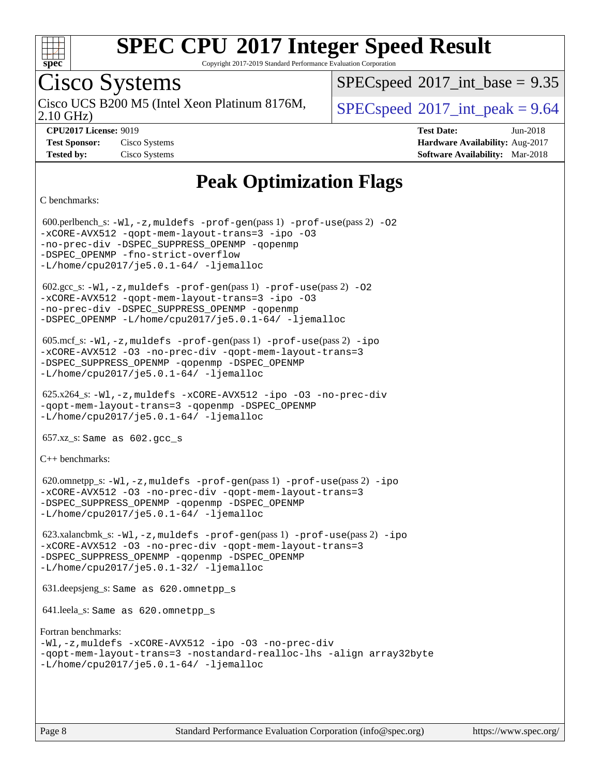

Copyright 2017-2019 Standard Performance Evaluation Corporation

### Cisco Systems

2.10 GHz) Cisco UCS B200 M5 (Intel Xeon Platinum 8176M,  $\big|$  [SPECspeed](http://www.spec.org/auto/cpu2017/Docs/result-fields.html#SPECspeed2017intpeak)<sup>®</sup>[2017\\_int\\_peak = 9](http://www.spec.org/auto/cpu2017/Docs/result-fields.html#SPECspeed2017intpeak).64

 $SPECspeed^{\circ}2017\_int\_base = 9.35$  $SPECspeed^{\circ}2017\_int\_base = 9.35$ 

**[CPU2017 License:](http://www.spec.org/auto/cpu2017/Docs/result-fields.html#CPU2017License)** 9019 **[Test Date:](http://www.spec.org/auto/cpu2017/Docs/result-fields.html#TestDate)** Jun-2018 **[Test Sponsor:](http://www.spec.org/auto/cpu2017/Docs/result-fields.html#TestSponsor)** Cisco Systems **[Hardware Availability:](http://www.spec.org/auto/cpu2017/Docs/result-fields.html#HardwareAvailability)** Aug-2017 **[Tested by:](http://www.spec.org/auto/cpu2017/Docs/result-fields.html#Testedby)** Cisco Systems **[Software Availability:](http://www.spec.org/auto/cpu2017/Docs/result-fields.html#SoftwareAvailability)** Mar-2018

### **[Peak Optimization Flags](http://www.spec.org/auto/cpu2017/Docs/result-fields.html#PeakOptimizationFlags)**

[C benchmarks](http://www.spec.org/auto/cpu2017/Docs/result-fields.html#Cbenchmarks):

600.perlbench\_s:  $-W1$ ,  $-z$ , muldefs  $-prof$  -qen(pass 1)  $-prof$  -use(pass 2) [-O2](http://www.spec.org/cpu2017/results/res2018q2/cpu2017-20180612-06931.flags.html#user_peakPASS1_COPTIMIZE600_perlbench_s_f-O2) [-xCORE-AVX512](http://www.spec.org/cpu2017/results/res2018q2/cpu2017-20180612-06931.flags.html#user_peakPASS2_COPTIMIZE600_perlbench_s_f-xCORE-AVX512) [-qopt-mem-layout-trans=3](http://www.spec.org/cpu2017/results/res2018q2/cpu2017-20180612-06931.flags.html#user_peakPASS1_COPTIMIZEPASS2_COPTIMIZE600_perlbench_s_f-qopt-mem-layout-trans_de80db37974c74b1f0e20d883f0b675c88c3b01e9d123adea9b28688d64333345fb62bc4a798493513fdb68f60282f9a726aa07f478b2f7113531aecce732043) [-ipo](http://www.spec.org/cpu2017/results/res2018q2/cpu2017-20180612-06931.flags.html#user_peakPASS2_COPTIMIZE600_perlbench_s_f-ipo) [-O3](http://www.spec.org/cpu2017/results/res2018q2/cpu2017-20180612-06931.flags.html#user_peakPASS2_COPTIMIZE600_perlbench_s_f-O3) [-no-prec-div](http://www.spec.org/cpu2017/results/res2018q2/cpu2017-20180612-06931.flags.html#user_peakPASS2_COPTIMIZE600_perlbench_s_f-no-prec-div) [-DSPEC\\_SUPPRESS\\_OPENMP](http://www.spec.org/cpu2017/results/res2018q2/cpu2017-20180612-06931.flags.html#suite_peakPASS1_COPTIMIZE600_perlbench_s_DSPEC_SUPPRESS_OPENMP) [-qopenmp](http://www.spec.org/cpu2017/results/res2018q2/cpu2017-20180612-06931.flags.html#user_peakPASS2_COPTIMIZE600_perlbench_s_qopenmp_16be0c44f24f464004c6784a7acb94aca937f053568ce72f94b139a11c7c168634a55f6653758ddd83bcf7b8463e8028bb0b48b77bcddc6b78d5d95bb1df2967) -DSPEC OPENMP [-fno-strict-overflow](http://www.spec.org/cpu2017/results/res2018q2/cpu2017-20180612-06931.flags.html#user_peakEXTRA_OPTIMIZE600_perlbench_s_f-fno-strict-overflow) [-L/home/cpu2017/je5.0.1-64/](http://www.spec.org/cpu2017/results/res2018q2/cpu2017-20180612-06931.flags.html#user_peakEXTRA_LIBS600_perlbench_s_jemalloc_link_path64_8e927a5f1bdac0405e66c637541874330e08086b5e62a1d024bcf3497e3c64fd173c8afb7d1730d51f6da781ef4c439bdab468bb8364cf71435e0c609fac500c) [-ljemalloc](http://www.spec.org/cpu2017/results/res2018q2/cpu2017-20180612-06931.flags.html#user_peakEXTRA_LIBS600_perlbench_s_jemalloc_link_lib_d1249b907c500fa1c0672f44f562e3d0f79738ae9e3c4a9c376d49f265a04b9c99b167ecedbf6711b3085be911c67ff61f150a17b3472be731631ba4d0471706)  $602.\text{sec}\text{s}: -W1, -z$ , muldefs  $-\text{prof}-\text{gen}(pass 1) -\text{prof}-\text{use}(pass 2) -02$ [-xCORE-AVX512](http://www.spec.org/cpu2017/results/res2018q2/cpu2017-20180612-06931.flags.html#user_peakPASS2_COPTIMIZE602_gcc_s_f-xCORE-AVX512) [-qopt-mem-layout-trans=3](http://www.spec.org/cpu2017/results/res2018q2/cpu2017-20180612-06931.flags.html#user_peakPASS1_COPTIMIZEPASS2_COPTIMIZE602_gcc_s_f-qopt-mem-layout-trans_de80db37974c74b1f0e20d883f0b675c88c3b01e9d123adea9b28688d64333345fb62bc4a798493513fdb68f60282f9a726aa07f478b2f7113531aecce732043) [-ipo](http://www.spec.org/cpu2017/results/res2018q2/cpu2017-20180612-06931.flags.html#user_peakPASS2_COPTIMIZE602_gcc_s_f-ipo) [-O3](http://www.spec.org/cpu2017/results/res2018q2/cpu2017-20180612-06931.flags.html#user_peakPASS2_COPTIMIZE602_gcc_s_f-O3) [-no-prec-div](http://www.spec.org/cpu2017/results/res2018q2/cpu2017-20180612-06931.flags.html#user_peakPASS2_COPTIMIZE602_gcc_s_f-no-prec-div) [-DSPEC\\_SUPPRESS\\_OPENMP](http://www.spec.org/cpu2017/results/res2018q2/cpu2017-20180612-06931.flags.html#suite_peakPASS1_COPTIMIZE602_gcc_s_DSPEC_SUPPRESS_OPENMP) [-qopenmp](http://www.spec.org/cpu2017/results/res2018q2/cpu2017-20180612-06931.flags.html#user_peakPASS2_COPTIMIZE602_gcc_s_qopenmp_16be0c44f24f464004c6784a7acb94aca937f053568ce72f94b139a11c7c168634a55f6653758ddd83bcf7b8463e8028bb0b48b77bcddc6b78d5d95bb1df2967) [-DSPEC\\_OPENMP](http://www.spec.org/cpu2017/results/res2018q2/cpu2017-20180612-06931.flags.html#suite_peakPASS2_COPTIMIZE602_gcc_s_DSPEC_OPENMP) [-L/home/cpu2017/je5.0.1-64/](http://www.spec.org/cpu2017/results/res2018q2/cpu2017-20180612-06931.flags.html#user_peakEXTRA_LIBS602_gcc_s_jemalloc_link_path64_8e927a5f1bdac0405e66c637541874330e08086b5e62a1d024bcf3497e3c64fd173c8afb7d1730d51f6da781ef4c439bdab468bb8364cf71435e0c609fac500c) [-ljemalloc](http://www.spec.org/cpu2017/results/res2018q2/cpu2017-20180612-06931.flags.html#user_peakEXTRA_LIBS602_gcc_s_jemalloc_link_lib_d1249b907c500fa1c0672f44f562e3d0f79738ae9e3c4a9c376d49f265a04b9c99b167ecedbf6711b3085be911c67ff61f150a17b3472be731631ba4d0471706) 605.mcf\_s: [-Wl,-z,muldefs](http://www.spec.org/cpu2017/results/res2018q2/cpu2017-20180612-06931.flags.html#user_peakEXTRA_LDFLAGS605_mcf_s_link_force_multiple1_b4cbdb97b34bdee9ceefcfe54f4c8ea74255f0b02a4b23e853cdb0e18eb4525ac79b5a88067c842dd0ee6996c24547a27a4b99331201badda8798ef8a743f577) [-prof-gen](http://www.spec.org/cpu2017/results/res2018q2/cpu2017-20180612-06931.flags.html#user_peakPASS1_CFLAGSPASS1_LDFLAGS605_mcf_s_prof_gen_5aa4926d6013ddb2a31985c654b3eb18169fc0c6952a63635c234f711e6e63dd76e94ad52365559451ec499a2cdb89e4dc58ba4c67ef54ca681ffbe1461d6b36)(pass 1) [-prof-use](http://www.spec.org/cpu2017/results/res2018q2/cpu2017-20180612-06931.flags.html#user_peakPASS2_CFLAGSPASS2_LDFLAGS605_mcf_s_prof_use_1a21ceae95f36a2b53c25747139a6c16ca95bd9def2a207b4f0849963b97e94f5260e30a0c64f4bb623698870e679ca08317ef8150905d41bd88c6f78df73f19)(pass 2) [-ipo](http://www.spec.org/cpu2017/results/res2018q2/cpu2017-20180612-06931.flags.html#user_peakPASS1_COPTIMIZEPASS2_COPTIMIZE605_mcf_s_f-ipo) [-xCORE-AVX512](http://www.spec.org/cpu2017/results/res2018q2/cpu2017-20180612-06931.flags.html#user_peakPASS2_COPTIMIZE605_mcf_s_f-xCORE-AVX512) [-O3](http://www.spec.org/cpu2017/results/res2018q2/cpu2017-20180612-06931.flags.html#user_peakPASS1_COPTIMIZEPASS2_COPTIMIZE605_mcf_s_f-O3) [-no-prec-div](http://www.spec.org/cpu2017/results/res2018q2/cpu2017-20180612-06931.flags.html#user_peakPASS1_COPTIMIZEPASS2_COPTIMIZE605_mcf_s_f-no-prec-div) [-qopt-mem-layout-trans=3](http://www.spec.org/cpu2017/results/res2018q2/cpu2017-20180612-06931.flags.html#user_peakPASS1_COPTIMIZEPASS2_COPTIMIZE605_mcf_s_f-qopt-mem-layout-trans_de80db37974c74b1f0e20d883f0b675c88c3b01e9d123adea9b28688d64333345fb62bc4a798493513fdb68f60282f9a726aa07f478b2f7113531aecce732043) [-DSPEC\\_SUPPRESS\\_OPENMP](http://www.spec.org/cpu2017/results/res2018q2/cpu2017-20180612-06931.flags.html#suite_peakPASS1_COPTIMIZE605_mcf_s_DSPEC_SUPPRESS_OPENMP) [-qopenmp](http://www.spec.org/cpu2017/results/res2018q2/cpu2017-20180612-06931.flags.html#user_peakPASS2_COPTIMIZE605_mcf_s_qopenmp_16be0c44f24f464004c6784a7acb94aca937f053568ce72f94b139a11c7c168634a55f6653758ddd83bcf7b8463e8028bb0b48b77bcddc6b78d5d95bb1df2967) [-DSPEC\\_OPENMP](http://www.spec.org/cpu2017/results/res2018q2/cpu2017-20180612-06931.flags.html#suite_peakPASS2_COPTIMIZE605_mcf_s_DSPEC_OPENMP) [-L/home/cpu2017/je5.0.1-64/](http://www.spec.org/cpu2017/results/res2018q2/cpu2017-20180612-06931.flags.html#user_peakEXTRA_LIBS605_mcf_s_jemalloc_link_path64_8e927a5f1bdac0405e66c637541874330e08086b5e62a1d024bcf3497e3c64fd173c8afb7d1730d51f6da781ef4c439bdab468bb8364cf71435e0c609fac500c) [-ljemalloc](http://www.spec.org/cpu2017/results/res2018q2/cpu2017-20180612-06931.flags.html#user_peakEXTRA_LIBS605_mcf_s_jemalloc_link_lib_d1249b907c500fa1c0672f44f562e3d0f79738ae9e3c4a9c376d49f265a04b9c99b167ecedbf6711b3085be911c67ff61f150a17b3472be731631ba4d0471706) 625.x264\_s: [-Wl,-z,muldefs](http://www.spec.org/cpu2017/results/res2018q2/cpu2017-20180612-06931.flags.html#user_peakEXTRA_LDFLAGS625_x264_s_link_force_multiple1_b4cbdb97b34bdee9ceefcfe54f4c8ea74255f0b02a4b23e853cdb0e18eb4525ac79b5a88067c842dd0ee6996c24547a27a4b99331201badda8798ef8a743f577) [-xCORE-AVX512](http://www.spec.org/cpu2017/results/res2018q2/cpu2017-20180612-06931.flags.html#user_peakCOPTIMIZE625_x264_s_f-xCORE-AVX512) [-ipo](http://www.spec.org/cpu2017/results/res2018q2/cpu2017-20180612-06931.flags.html#user_peakCOPTIMIZE625_x264_s_f-ipo) [-O3](http://www.spec.org/cpu2017/results/res2018q2/cpu2017-20180612-06931.flags.html#user_peakCOPTIMIZE625_x264_s_f-O3) [-no-prec-div](http://www.spec.org/cpu2017/results/res2018q2/cpu2017-20180612-06931.flags.html#user_peakCOPTIMIZE625_x264_s_f-no-prec-div) [-qopt-mem-layout-trans=3](http://www.spec.org/cpu2017/results/res2018q2/cpu2017-20180612-06931.flags.html#user_peakCOPTIMIZE625_x264_s_f-qopt-mem-layout-trans_de80db37974c74b1f0e20d883f0b675c88c3b01e9d123adea9b28688d64333345fb62bc4a798493513fdb68f60282f9a726aa07f478b2f7113531aecce732043) [-qopenmp](http://www.spec.org/cpu2017/results/res2018q2/cpu2017-20180612-06931.flags.html#user_peakCOPTIMIZE625_x264_s_qopenmp_16be0c44f24f464004c6784a7acb94aca937f053568ce72f94b139a11c7c168634a55f6653758ddd83bcf7b8463e8028bb0b48b77bcddc6b78d5d95bb1df2967) [-DSPEC\\_OPENMP](http://www.spec.org/cpu2017/results/res2018q2/cpu2017-20180612-06931.flags.html#suite_peakCOPTIMIZE625_x264_s_DSPEC_OPENMP) [-L/home/cpu2017/je5.0.1-64/](http://www.spec.org/cpu2017/results/res2018q2/cpu2017-20180612-06931.flags.html#user_peakEXTRA_LIBS625_x264_s_jemalloc_link_path64_8e927a5f1bdac0405e66c637541874330e08086b5e62a1d024bcf3497e3c64fd173c8afb7d1730d51f6da781ef4c439bdab468bb8364cf71435e0c609fac500c) [-ljemalloc](http://www.spec.org/cpu2017/results/res2018q2/cpu2017-20180612-06931.flags.html#user_peakEXTRA_LIBS625_x264_s_jemalloc_link_lib_d1249b907c500fa1c0672f44f562e3d0f79738ae9e3c4a9c376d49f265a04b9c99b167ecedbf6711b3085be911c67ff61f150a17b3472be731631ba4d0471706) 657.xz\_s: Same as 602.gcc\_s [C++ benchmarks:](http://www.spec.org/auto/cpu2017/Docs/result-fields.html#CXXbenchmarks) 620.omnetpp\_s: [-Wl,-z,muldefs](http://www.spec.org/cpu2017/results/res2018q2/cpu2017-20180612-06931.flags.html#user_peakEXTRA_LDFLAGS620_omnetpp_s_link_force_multiple1_b4cbdb97b34bdee9ceefcfe54f4c8ea74255f0b02a4b23e853cdb0e18eb4525ac79b5a88067c842dd0ee6996c24547a27a4b99331201badda8798ef8a743f577) [-prof-gen](http://www.spec.org/cpu2017/results/res2018q2/cpu2017-20180612-06931.flags.html#user_peakPASS1_CXXFLAGSPASS1_LDFLAGS620_omnetpp_s_prof_gen_5aa4926d6013ddb2a31985c654b3eb18169fc0c6952a63635c234f711e6e63dd76e94ad52365559451ec499a2cdb89e4dc58ba4c67ef54ca681ffbe1461d6b36)(pass 1) [-prof-use](http://www.spec.org/cpu2017/results/res2018q2/cpu2017-20180612-06931.flags.html#user_peakPASS2_CXXFLAGSPASS2_LDFLAGS620_omnetpp_s_prof_use_1a21ceae95f36a2b53c25747139a6c16ca95bd9def2a207b4f0849963b97e94f5260e30a0c64f4bb623698870e679ca08317ef8150905d41bd88c6f78df73f19)(pass 2) [-ipo](http://www.spec.org/cpu2017/results/res2018q2/cpu2017-20180612-06931.flags.html#user_peakPASS1_CXXOPTIMIZEPASS2_CXXOPTIMIZE620_omnetpp_s_f-ipo) [-xCORE-AVX512](http://www.spec.org/cpu2017/results/res2018q2/cpu2017-20180612-06931.flags.html#user_peakPASS2_CXXOPTIMIZE620_omnetpp_s_f-xCORE-AVX512) [-O3](http://www.spec.org/cpu2017/results/res2018q2/cpu2017-20180612-06931.flags.html#user_peakPASS1_CXXOPTIMIZEPASS2_CXXOPTIMIZE620_omnetpp_s_f-O3) [-no-prec-div](http://www.spec.org/cpu2017/results/res2018q2/cpu2017-20180612-06931.flags.html#user_peakPASS1_CXXOPTIMIZEPASS2_CXXOPTIMIZE620_omnetpp_s_f-no-prec-div) [-qopt-mem-layout-trans=3](http://www.spec.org/cpu2017/results/res2018q2/cpu2017-20180612-06931.flags.html#user_peakPASS1_CXXOPTIMIZEPASS2_CXXOPTIMIZE620_omnetpp_s_f-qopt-mem-layout-trans_de80db37974c74b1f0e20d883f0b675c88c3b01e9d123adea9b28688d64333345fb62bc4a798493513fdb68f60282f9a726aa07f478b2f7113531aecce732043) [-DSPEC\\_SUPPRESS\\_OPENMP](http://www.spec.org/cpu2017/results/res2018q2/cpu2017-20180612-06931.flags.html#suite_peakPASS1_CXXOPTIMIZE620_omnetpp_s_DSPEC_SUPPRESS_OPENMP) [-qopenmp](http://www.spec.org/cpu2017/results/res2018q2/cpu2017-20180612-06931.flags.html#user_peakPASS2_CXXOPTIMIZE620_omnetpp_s_qopenmp_16be0c44f24f464004c6784a7acb94aca937f053568ce72f94b139a11c7c168634a55f6653758ddd83bcf7b8463e8028bb0b48b77bcddc6b78d5d95bb1df2967) [-DSPEC\\_OPENMP](http://www.spec.org/cpu2017/results/res2018q2/cpu2017-20180612-06931.flags.html#suite_peakPASS2_CXXOPTIMIZE620_omnetpp_s_DSPEC_OPENMP) [-L/home/cpu2017/je5.0.1-64/](http://www.spec.org/cpu2017/results/res2018q2/cpu2017-20180612-06931.flags.html#user_peakEXTRA_LIBS620_omnetpp_s_jemalloc_link_path64_8e927a5f1bdac0405e66c637541874330e08086b5e62a1d024bcf3497e3c64fd173c8afb7d1730d51f6da781ef4c439bdab468bb8364cf71435e0c609fac500c) [-ljemalloc](http://www.spec.org/cpu2017/results/res2018q2/cpu2017-20180612-06931.flags.html#user_peakEXTRA_LIBS620_omnetpp_s_jemalloc_link_lib_d1249b907c500fa1c0672f44f562e3d0f79738ae9e3c4a9c376d49f265a04b9c99b167ecedbf6711b3085be911c67ff61f150a17b3472be731631ba4d0471706) 623.xalancbmk\_s: [-Wl,-z,muldefs](http://www.spec.org/cpu2017/results/res2018q2/cpu2017-20180612-06931.flags.html#user_peakEXTRA_LDFLAGS623_xalancbmk_s_link_force_multiple1_b4cbdb97b34bdee9ceefcfe54f4c8ea74255f0b02a4b23e853cdb0e18eb4525ac79b5a88067c842dd0ee6996c24547a27a4b99331201badda8798ef8a743f577) [-prof-gen](http://www.spec.org/cpu2017/results/res2018q2/cpu2017-20180612-06931.flags.html#user_peakPASS1_CXXFLAGSPASS1_LDFLAGS623_xalancbmk_s_prof_gen_5aa4926d6013ddb2a31985c654b3eb18169fc0c6952a63635c234f711e6e63dd76e94ad52365559451ec499a2cdb89e4dc58ba4c67ef54ca681ffbe1461d6b36)(pass 1) [-prof-use](http://www.spec.org/cpu2017/results/res2018q2/cpu2017-20180612-06931.flags.html#user_peakPASS2_CXXFLAGSPASS2_LDFLAGS623_xalancbmk_s_prof_use_1a21ceae95f36a2b53c25747139a6c16ca95bd9def2a207b4f0849963b97e94f5260e30a0c64f4bb623698870e679ca08317ef8150905d41bd88c6f78df73f19)(pass 2) [-ipo](http://www.spec.org/cpu2017/results/res2018q2/cpu2017-20180612-06931.flags.html#user_peakPASS1_CXXOPTIMIZEPASS2_CXXOPTIMIZE623_xalancbmk_s_f-ipo) [-xCORE-AVX512](http://www.spec.org/cpu2017/results/res2018q2/cpu2017-20180612-06931.flags.html#user_peakPASS2_CXXOPTIMIZE623_xalancbmk_s_f-xCORE-AVX512) [-O3](http://www.spec.org/cpu2017/results/res2018q2/cpu2017-20180612-06931.flags.html#user_peakPASS1_CXXOPTIMIZEPASS2_CXXOPTIMIZE623_xalancbmk_s_f-O3) [-no-prec-div](http://www.spec.org/cpu2017/results/res2018q2/cpu2017-20180612-06931.flags.html#user_peakPASS1_CXXOPTIMIZEPASS2_CXXOPTIMIZE623_xalancbmk_s_f-no-prec-div) [-qopt-mem-layout-trans=3](http://www.spec.org/cpu2017/results/res2018q2/cpu2017-20180612-06931.flags.html#user_peakPASS1_CXXOPTIMIZEPASS2_CXXOPTIMIZE623_xalancbmk_s_f-qopt-mem-layout-trans_de80db37974c74b1f0e20d883f0b675c88c3b01e9d123adea9b28688d64333345fb62bc4a798493513fdb68f60282f9a726aa07f478b2f7113531aecce732043) [-DSPEC\\_SUPPRESS\\_OPENMP](http://www.spec.org/cpu2017/results/res2018q2/cpu2017-20180612-06931.flags.html#suite_peakPASS1_CXXOPTIMIZE623_xalancbmk_s_DSPEC_SUPPRESS_OPENMP) [-qopenmp](http://www.spec.org/cpu2017/results/res2018q2/cpu2017-20180612-06931.flags.html#user_peakPASS2_CXXOPTIMIZE623_xalancbmk_s_qopenmp_16be0c44f24f464004c6784a7acb94aca937f053568ce72f94b139a11c7c168634a55f6653758ddd83bcf7b8463e8028bb0b48b77bcddc6b78d5d95bb1df2967) [-DSPEC\\_OPENMP](http://www.spec.org/cpu2017/results/res2018q2/cpu2017-20180612-06931.flags.html#suite_peakPASS2_CXXOPTIMIZE623_xalancbmk_s_DSPEC_OPENMP) [-L/home/cpu2017/je5.0.1-32/](http://www.spec.org/cpu2017/results/res2018q2/cpu2017-20180612-06931.flags.html#user_peakEXTRA_LIBS623_xalancbmk_s_jemalloc_link_path32_395839964bb6e7d127dfa41a70bc909a71494bc32f82a1f18d87c6546a5f35ea9c5ad3c111b30f9a5397a6f43b4f43a41cfbf7d188da9198ed16c21920a4a794) [-ljemalloc](http://www.spec.org/cpu2017/results/res2018q2/cpu2017-20180612-06931.flags.html#user_peakEXTRA_LIBS623_xalancbmk_s_jemalloc_link_lib_d1249b907c500fa1c0672f44f562e3d0f79738ae9e3c4a9c376d49f265a04b9c99b167ecedbf6711b3085be911c67ff61f150a17b3472be731631ba4d0471706) 631.deepsjeng\_s: Same as 620.omnetpp\_s 641.leela\_s: Same as 620.omnetpp\_s [Fortran benchmarks](http://www.spec.org/auto/cpu2017/Docs/result-fields.html#Fortranbenchmarks): [-Wl,-z,muldefs](http://www.spec.org/cpu2017/results/res2018q2/cpu2017-20180612-06931.flags.html#user_FCpeak_link_force_multiple1_b4cbdb97b34bdee9ceefcfe54f4c8ea74255f0b02a4b23e853cdb0e18eb4525ac79b5a88067c842dd0ee6996c24547a27a4b99331201badda8798ef8a743f577) [-xCORE-AVX512](http://www.spec.org/cpu2017/results/res2018q2/cpu2017-20180612-06931.flags.html#user_FCpeak_f-xCORE-AVX512) [-ipo](http://www.spec.org/cpu2017/results/res2018q2/cpu2017-20180612-06931.flags.html#user_FCpeak_f-ipo) [-O3](http://www.spec.org/cpu2017/results/res2018q2/cpu2017-20180612-06931.flags.html#user_FCpeak_f-O3) [-no-prec-div](http://www.spec.org/cpu2017/results/res2018q2/cpu2017-20180612-06931.flags.html#user_FCpeak_f-no-prec-div) [-qopt-mem-layout-trans=3](http://www.spec.org/cpu2017/results/res2018q2/cpu2017-20180612-06931.flags.html#user_FCpeak_f-qopt-mem-layout-trans_de80db37974c74b1f0e20d883f0b675c88c3b01e9d123adea9b28688d64333345fb62bc4a798493513fdb68f60282f9a726aa07f478b2f7113531aecce732043) [-nostandard-realloc-lhs](http://www.spec.org/cpu2017/results/res2018q2/cpu2017-20180612-06931.flags.html#user_FCpeak_f_2003_std_realloc_82b4557e90729c0f113870c07e44d33d6f5a304b4f63d4c15d2d0f1fab99f5daaed73bdb9275d9ae411527f28b936061aa8b9c8f2d63842963b95c9dd6426b8a) [-align array32byte](http://www.spec.org/cpu2017/results/res2018q2/cpu2017-20180612-06931.flags.html#user_FCpeak_align_array32byte_b982fe038af199962ba9a80c053b8342c548c85b40b8e86eb3cc33dee0d7986a4af373ac2d51c3f7cf710a18d62fdce2948f201cd044323541f22fc0fffc51b6) [-L/home/cpu2017/je5.0.1-64/](http://www.spec.org/cpu2017/results/res2018q2/cpu2017-20180612-06931.flags.html#user_FCpeak_jemalloc_link_path64_8e927a5f1bdac0405e66c637541874330e08086b5e62a1d024bcf3497e3c64fd173c8afb7d1730d51f6da781ef4c439bdab468bb8364cf71435e0c609fac500c) [-ljemalloc](http://www.spec.org/cpu2017/results/res2018q2/cpu2017-20180612-06931.flags.html#user_FCpeak_jemalloc_link_lib_d1249b907c500fa1c0672f44f562e3d0f79738ae9e3c4a9c376d49f265a04b9c99b167ecedbf6711b3085be911c67ff61f150a17b3472be731631ba4d0471706)